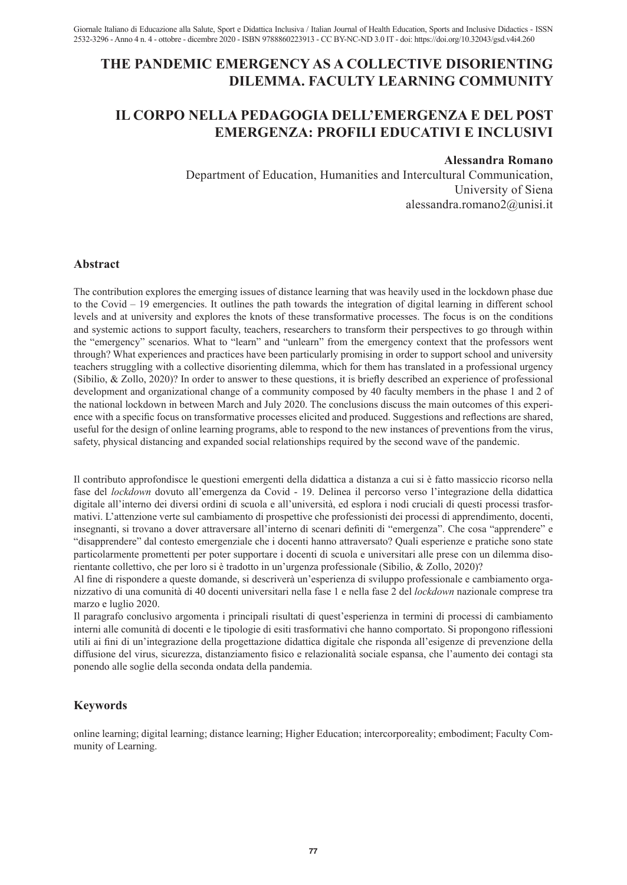# **THE PANDEMIC EMERGENCY AS A COLLECTIVE DISORIENTING DILEMMA. FACULTY LEARNING COMMUNITY**

# **IL CORPO NELLA PEDAGOGIA DELL'EMERGENZA E DEL POST EMERGENZA: PROFILI EDUCATIVI E INCLUSIVI**

# **Alessandra Romano**

Department of Education, Humanities and Intercultural Communication, University of Siena alessandra.romano2@unisi.it

# **Abstract**

The contribution explores the emerging issues of distance learning that was heavily used in the lockdown phase due to the Covid – 19 emergencies. It outlines the path towards the integration of digital learning in different school levels and at university and explores the knots of these transformative processes. The focus is on the conditions and systemic actions to support faculty, teachers, researchers to transform their perspectives to go through within the "emergency" scenarios. What to "learn" and "unlearn" from the emergency context that the professors went through? What experiences and practices have been particularly promising in order to support school and university teachers struggling with a collective disorienting dilemma, which for them has translated in a professional urgency (Sibilio, & Zollo, 2020)? In order to answer to these questions, it is briefly described an experience of professional development and organizational change of a community composed by 40 faculty members in the phase 1 and 2 of the national lockdown in between March and July 2020. The conclusions discuss the main outcomes of this experience with a specific focus on transformative processes elicited and produced. Suggestions and reflections are shared, useful for the design of online learning programs, able to respond to the new instances of preventions from the virus, safety, physical distancing and expanded social relationships required by the second wave of the pandemic.

Il contributo approfondisce le questioni emergenti della didattica a distanza a cui si è fatto massiccio ricorso nella fase del *lockdown* dovuto all'emergenza da Covid - 19. Delinea il percorso verso l'integrazione della didattica digitale all'interno dei diversi ordini di scuola e all'università, ed esplora i nodi cruciali di questi processi trasformativi. L'attenzione verte sul cambiamento di prospettive che professionisti dei processi di apprendimento, docenti, insegnanti, si trovano a dover attraversare all'interno di scenari definiti di "emergenza". Che cosa "apprendere" e "disapprendere" dal contesto emergenziale che i docenti hanno attraversato? Quali esperienze e pratiche sono state particolarmente promettenti per poter supportare i docenti di scuola e universitari alle prese con un dilemma disorientante collettivo, che per loro si è tradotto in un'urgenza professionale (Sibilio, & Zollo, 2020)?

Al fine di rispondere a queste domande, si descriverà un'esperienza di sviluppo professionale e cambiamento organizzativo di una comunità di 40 docenti universitari nella fase 1 e nella fase 2 del *lockdown* nazionale comprese tra marzo e luglio 2020.

Il paragrafo conclusivo argomenta i principali risultati di quest'esperienza in termini di processi di cambiamento interni alle comunità di docenti e le tipologie di esiti trasformativi che hanno comportato. Si propongono riflessioni utili ai fini di un'integrazione della progettazione didattica digitale che risponda all'esigenze di prevenzione della diffusione del virus, sicurezza, distanziamento fisico e relazionalità sociale espansa, che l'aumento dei contagi sta ponendo alle soglie della seconda ondata della pandemia.

# **Keywords**

online learning; digital learning; distance learning; Higher Education; intercorporeality; embodiment; Faculty Community of Learning.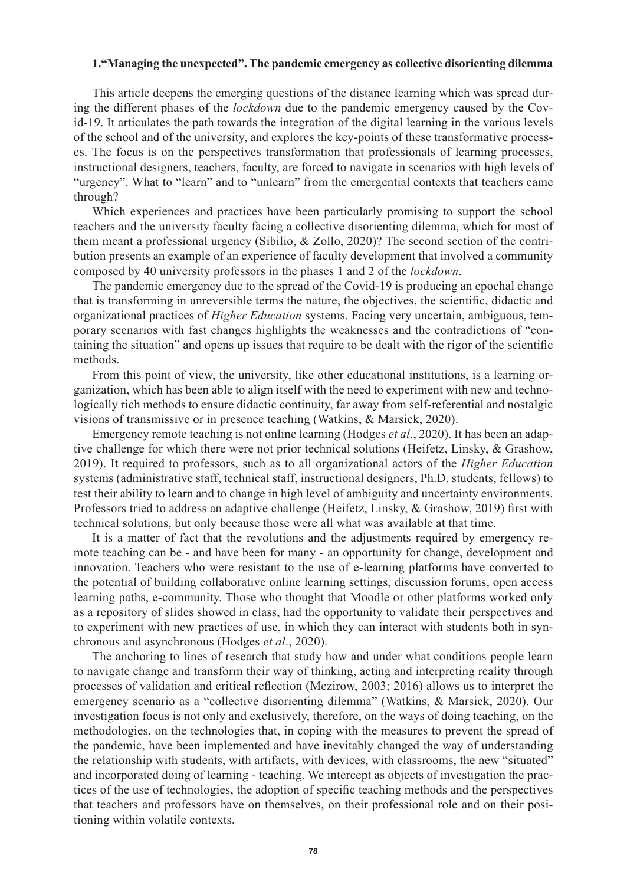# **1."Managing the unexpected". The pandemic emergency as collective disorienting dilemma**

This article deepens the emerging questions of the distance learning which was spread during the different phases of the *lockdown* due to the pandemic emergency caused by the Covid-19. It articulates the path towards the integration of the digital learning in the various levels of the school and of the university, and explores the key-points of these transformative processes. The focus is on the perspectives transformation that professionals of learning processes, instructional designers, teachers, faculty, are forced to navigate in scenarios with high levels of "urgency". What to "learn" and to "unlearn" from the emergential contexts that teachers came through?

Which experiences and practices have been particularly promising to support the school teachers and the university faculty facing a collective disorienting dilemma, which for most of them meant a professional urgency (Sibilio, & Zollo, 2020)? The second section of the contribution presents an example of an experience of faculty development that involved a community composed by 40 university professors in the phases 1 and 2 of the *lockdown*.

The pandemic emergency due to the spread of the Covid-19 is producing an epochal change that is transforming in unreversible terms the nature, the objectives, the scientific, didactic and organizational practices of *Higher Education* systems. Facing very uncertain, ambiguous, temporary scenarios with fast changes highlights the weaknesses and the contradictions of "containing the situation" and opens up issues that require to be dealt with the rigor of the scientific methods.

From this point of view, the university, like other educational institutions, is a learning organization, which has been able to align itself with the need to experiment with new and technologically rich methods to ensure didactic continuity, far away from self-referential and nostalgic visions of transmissive or in presence teaching (Watkins, & Marsick, 2020).

Emergency remote teaching is not online learning (Hodges *et al*., 2020). It has been an adaptive challenge for which there were not prior technical solutions (Heifetz, Linsky, & Grashow, 2019). It required to professors, such as to all organizational actors of the *Higher Education* systems (administrative staff, technical staff, instructional designers, Ph.D. students, fellows) to test their ability to learn and to change in high level of ambiguity and uncertainty environments. Professors tried to address an adaptive challenge (Heifetz, Linsky, & Grashow, 2019) first with technical solutions, but only because those were all what was available at that time.

It is a matter of fact that the revolutions and the adjustments required by emergency remote teaching can be - and have been for many - an opportunity for change, development and innovation. Teachers who were resistant to the use of e-learning platforms have converted to the potential of building collaborative online learning settings, discussion forums, open access learning paths, e-community. Those who thought that Moodle or other platforms worked only as a repository of slides showed in class, had the opportunity to validate their perspectives and to experiment with new practices of use, in which they can interact with students both in synchronous and asynchronous (Hodges *et al*., 2020).

The anchoring to lines of research that study how and under what conditions people learn to navigate change and transform their way of thinking, acting and interpreting reality through processes of validation and critical reflection (Mezirow, 2003; 2016) allows us to interpret the emergency scenario as a "collective disorienting dilemma" (Watkins, & Marsick, 2020). Our investigation focus is not only and exclusively, therefore, on the ways of doing teaching, on the methodologies, on the technologies that, in coping with the measures to prevent the spread of the pandemic, have been implemented and have inevitably changed the way of understanding the relationship with students, with artifacts, with devices, with classrooms, the new "situated" and incorporated doing of learning - teaching. We intercept as objects of investigation the practices of the use of technologies, the adoption of specific teaching methods and the perspectives that teachers and professors have on themselves, on their professional role and on their positioning within volatile contexts.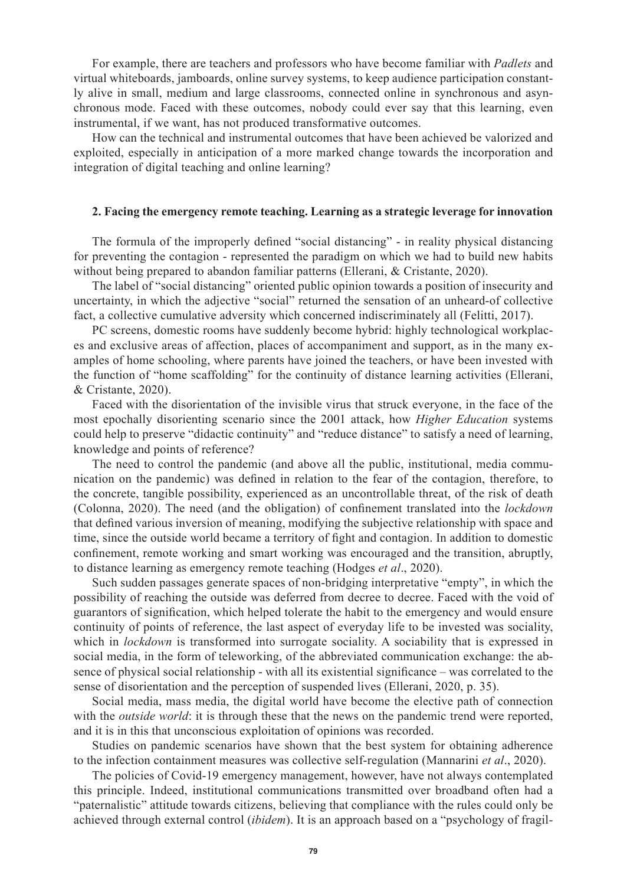For example, there are teachers and professors who have become familiar with *Padlets* and virtual whiteboards, jamboards, online survey systems, to keep audience participation constantly alive in small, medium and large classrooms, connected online in synchronous and asynchronous mode. Faced with these outcomes, nobody could ever say that this learning, even instrumental, if we want, has not produced transformative outcomes.

How can the technical and instrumental outcomes that have been achieved be valorized and exploited, especially in anticipation of a more marked change towards the incorporation and integration of digital teaching and online learning?

# **2. Facing the emergency remote teaching. Learning as a strategic leverage for innovation**

The formula of the improperly defined "social distancing" - in reality physical distancing for preventing the contagion - represented the paradigm on which we had to build new habits without being prepared to abandon familiar patterns (Ellerani, & Cristante, 2020).

The label of "social distancing" oriented public opinion towards a position of insecurity and uncertainty, in which the adjective "social" returned the sensation of an unheard-of collective fact, a collective cumulative adversity which concerned indiscriminately all (Felitti, 2017).

PC screens, domestic rooms have suddenly become hybrid: highly technological workplaces and exclusive areas of affection, places of accompaniment and support, as in the many examples of home schooling, where parents have joined the teachers, or have been invested with the function of "home scaffolding" for the continuity of distance learning activities (Ellerani, & Cristante, 2020).

Faced with the disorientation of the invisible virus that struck everyone, in the face of the most epochally disorienting scenario since the 2001 attack, how *Higher Education* systems could help to preserve "didactic continuity" and "reduce distance" to satisfy a need of learning, knowledge and points of reference?

The need to control the pandemic (and above all the public, institutional, media communication on the pandemic) was defined in relation to the fear of the contagion, therefore, to the concrete, tangible possibility, experienced as an uncontrollable threat, of the risk of death (Colonna, 2020). The need (and the obligation) of confinement translated into the *lockdown* that defined various inversion of meaning, modifying the subjective relationship with space and time, since the outside world became a territory of fight and contagion. In addition to domestic confinement, remote working and smart working was encouraged and the transition, abruptly, to distance learning as emergency remote teaching (Hodges *et al*., 2020).

Such sudden passages generate spaces of non-bridging interpretative "empty", in which the possibility of reaching the outside was deferred from decree to decree. Faced with the void of guarantors of signification, which helped tolerate the habit to the emergency and would ensure continuity of points of reference, the last aspect of everyday life to be invested was sociality, which in *lockdown* is transformed into surrogate sociality. A sociability that is expressed in social media, in the form of teleworking, of the abbreviated communication exchange: the absence of physical social relationship - with all its existential significance – was correlated to the sense of disorientation and the perception of suspended lives (Ellerani, 2020, p. 35).

Social media, mass media, the digital world have become the elective path of connection with the *outside world*: it is through these that the news on the pandemic trend were reported, and it is in this that unconscious exploitation of opinions was recorded.

Studies on pandemic scenarios have shown that the best system for obtaining adherence to the infection containment measures was collective self-regulation (Mannarini *et al*., 2020).

The policies of Covid-19 emergency management, however, have not always contemplated this principle. Indeed, institutional communications transmitted over broadband often had a "paternalistic" attitude towards citizens, believing that compliance with the rules could only be achieved through external control (*ibidem*). It is an approach based on a "psychology of fragil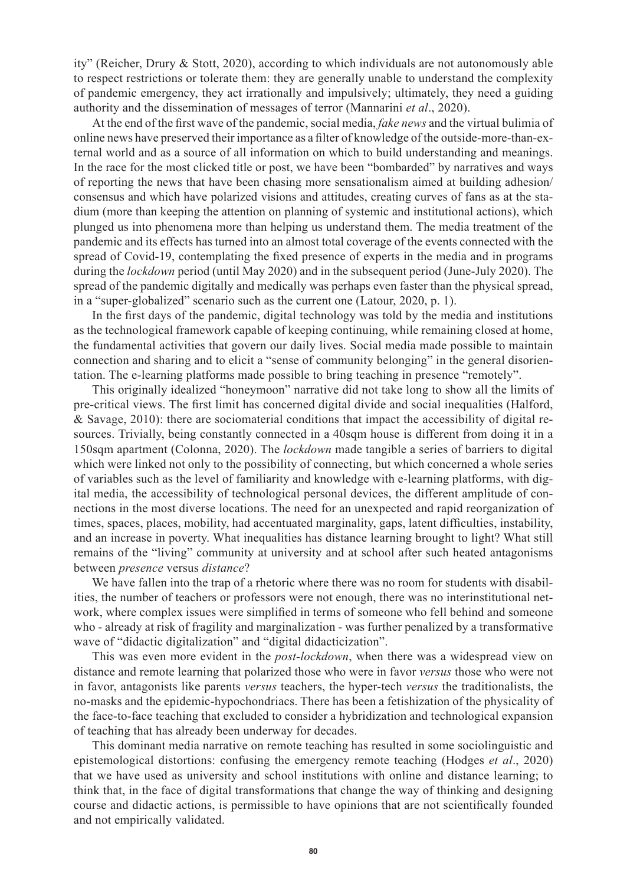ity" (Reicher, Drury & Stott, 2020), according to which individuals are not autonomously able to respect restrictions or tolerate them: they are generally unable to understand the complexity of pandemic emergency, they act irrationally and impulsively; ultimately, they need a guiding authority and the dissemination of messages of terror (Mannarini *et al*., 2020).

At the end of the first wave of the pandemic, social media, *fake news* and the virtual bulimia of online news have preserved their importance as a filter of knowledge of the outside-more-than-external world and as a source of all information on which to build understanding and meanings. In the race for the most clicked title or post, we have been "bombarded" by narratives and ways of reporting the news that have been chasing more sensationalism aimed at building adhesion/ consensus and which have polarized visions and attitudes, creating curves of fans as at the stadium (more than keeping the attention on planning of systemic and institutional actions), which plunged us into phenomena more than helping us understand them. The media treatment of the pandemic and its effects has turned into an almost total coverage of the events connected with the spread of Covid-19, contemplating the fixed presence of experts in the media and in programs during the *lockdown* period (until May 2020) and in the subsequent period (June-July 2020). The spread of the pandemic digitally and medically was perhaps even faster than the physical spread, in a "super-globalized" scenario such as the current one (Latour, 2020, p. 1).

In the first days of the pandemic, digital technology was told by the media and institutions as the technological framework capable of keeping continuing, while remaining closed at home, the fundamental activities that govern our daily lives. Social media made possible to maintain connection and sharing and to elicit a "sense of community belonging" in the general disorientation. The e-learning platforms made possible to bring teaching in presence "remotely".

This originally idealized "honeymoon" narrative did not take long to show all the limits of pre-critical views. The first limit has concerned digital divide and social inequalities (Halford, & Savage, 2010): there are sociomaterial conditions that impact the accessibility of digital resources. Trivially, being constantly connected in a 40sqm house is different from doing it in a 150sqm apartment (Colonna, 2020). The *lockdown* made tangible a series of barriers to digital which were linked not only to the possibility of connecting, but which concerned a whole series of variables such as the level of familiarity and knowledge with e-learning platforms, with digital media, the accessibility of technological personal devices, the different amplitude of connections in the most diverse locations. The need for an unexpected and rapid reorganization of times, spaces, places, mobility, had accentuated marginality, gaps, latent difficulties, instability, and an increase in poverty. What inequalities has distance learning brought to light? What still remains of the "living" community at university and at school after such heated antagonisms between *presence* versus *distance*?

We have fallen into the trap of a rhetoric where there was no room for students with disabilities, the number of teachers or professors were not enough, there was no interinstitutional network, where complex issues were simplified in terms of someone who fell behind and someone who - already at risk of fragility and marginalization - was further penalized by a transformative wave of "didactic digitalization" and "digital didacticization".

This was even more evident in the *post-lockdown*, when there was a widespread view on distance and remote learning that polarized those who were in favor *versus* those who were not in favor, antagonists like parents *versus* teachers, the hyper-tech *versus* the traditionalists, the no-masks and the epidemic-hypochondriacs. There has been a fetishization of the physicality of the face-to-face teaching that excluded to consider a hybridization and technological expansion of teaching that has already been underway for decades.

This dominant media narrative on remote teaching has resulted in some sociolinguistic and epistemological distortions: confusing the emergency remote teaching (Hodges *et al*., 2020) that we have used as university and school institutions with online and distance learning; to think that, in the face of digital transformations that change the way of thinking and designing course and didactic actions, is permissible to have opinions that are not scientifically founded and not empirically validated.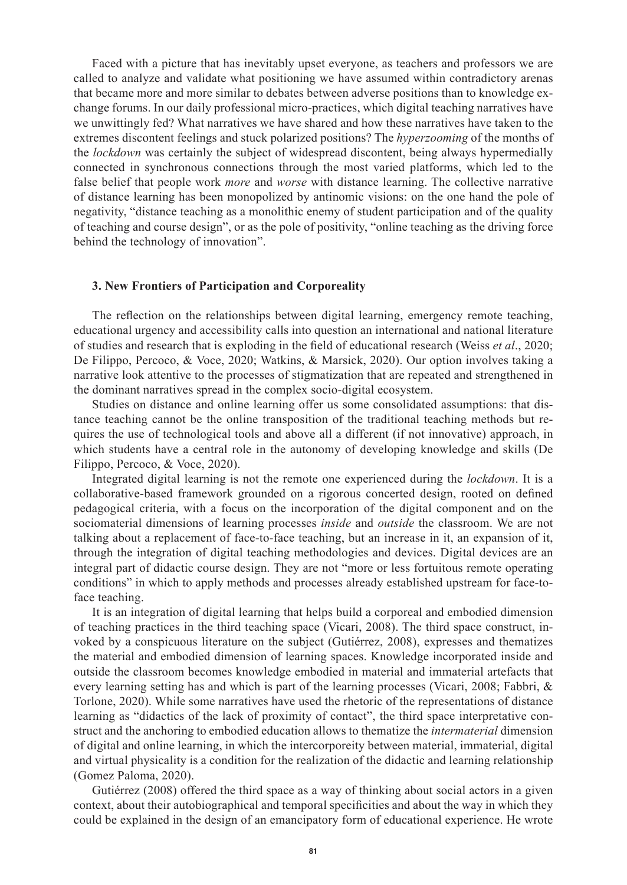Faced with a picture that has inevitably upset everyone, as teachers and professors we are called to analyze and validate what positioning we have assumed within contradictory arenas that became more and more similar to debates between adverse positions than to knowledge exchange forums. In our daily professional micro-practices, which digital teaching narratives have we unwittingly fed? What narratives we have shared and how these narratives have taken to the extremes discontent feelings and stuck polarized positions? The *hyperzooming* of the months of the *lockdown* was certainly the subject of widespread discontent, being always hypermedially connected in synchronous connections through the most varied platforms, which led to the false belief that people work *more* and *worse* with distance learning. The collective narrative of distance learning has been monopolized by antinomic visions: on the one hand the pole of negativity, "distance teaching as a monolithic enemy of student participation and of the quality of teaching and course design", or as the pole of positivity, "online teaching as the driving force behind the technology of innovation".

#### **3. New Frontiers of Participation and Corporeality**

The reflection on the relationships between digital learning, emergency remote teaching, educational urgency and accessibility calls into question an international and national literature of studies and research that is exploding in the field of educational research (Weiss *et al*., 2020; De Filippo, Percoco, & Voce, 2020; Watkins, & Marsick, 2020). Our option involves taking a narrative look attentive to the processes of stigmatization that are repeated and strengthened in the dominant narratives spread in the complex socio-digital ecosystem.

Studies on distance and online learning offer us some consolidated assumptions: that distance teaching cannot be the online transposition of the traditional teaching methods but requires the use of technological tools and above all a different (if not innovative) approach, in which students have a central role in the autonomy of developing knowledge and skills (De Filippo, Percoco, & Voce, 2020).

Integrated digital learning is not the remote one experienced during the *lockdown*. It is a collaborative-based framework grounded on a rigorous concerted design, rooted on defined pedagogical criteria, with a focus on the incorporation of the digital component and on the sociomaterial dimensions of learning processes *inside* and *outside* the classroom. We are not talking about a replacement of face-to-face teaching, but an increase in it, an expansion of it, through the integration of digital teaching methodologies and devices. Digital devices are an integral part of didactic course design. They are not "more or less fortuitous remote operating conditions" in which to apply methods and processes already established upstream for face-toface teaching.

It is an integration of digital learning that helps build a corporeal and embodied dimension of teaching practices in the third teaching space (Vicari, 2008). The third space construct, invoked by a conspicuous literature on the subject (Gutiérrez, 2008), expresses and thematizes the material and embodied dimension of learning spaces. Knowledge incorporated inside and outside the classroom becomes knowledge embodied in material and immaterial artefacts that every learning setting has and which is part of the learning processes (Vicari, 2008; Fabbri, & Torlone, 2020). While some narratives have used the rhetoric of the representations of distance learning as "didactics of the lack of proximity of contact", the third space interpretative construct and the anchoring to embodied education allows to thematize the *intermaterial* dimension of digital and online learning, in which the intercorporeity between material, immaterial, digital and virtual physicality is a condition for the realization of the didactic and learning relationship (Gomez Paloma, 2020).

Gutiérrez (2008) offered the third space as a way of thinking about social actors in a given context, about their autobiographical and temporal specificities and about the way in which they could be explained in the design of an emancipatory form of educational experience. He wrote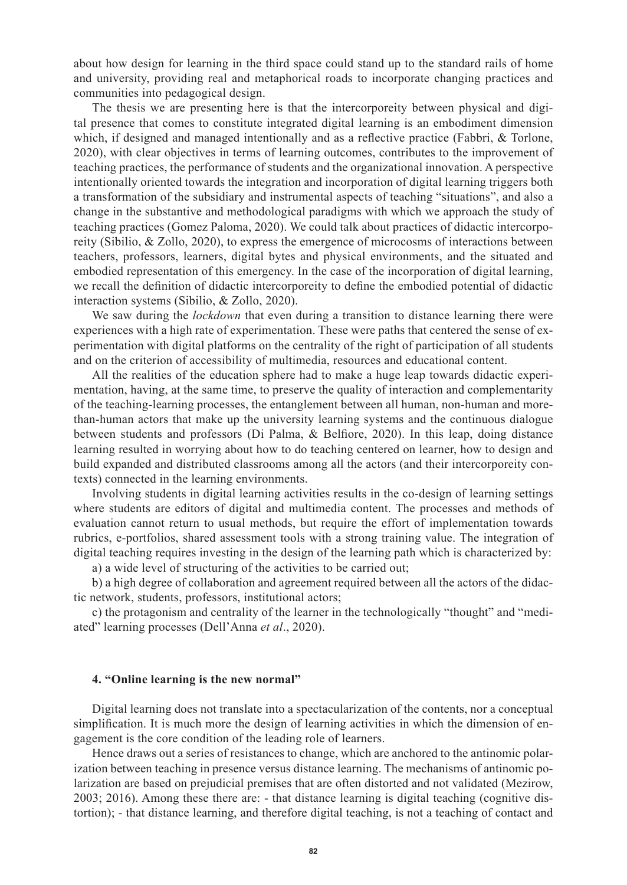about how design for learning in the third space could stand up to the standard rails of home and university, providing real and metaphorical roads to incorporate changing practices and communities into pedagogical design.

The thesis we are presenting here is that the intercorporeity between physical and digital presence that comes to constitute integrated digital learning is an embodiment dimension which, if designed and managed intentionally and as a reflective practice (Fabbri, & Torlone, 2020), with clear objectives in terms of learning outcomes, contributes to the improvement of teaching practices, the performance of students and the organizational innovation. A perspective intentionally oriented towards the integration and incorporation of digital learning triggers both a transformation of the subsidiary and instrumental aspects of teaching "situations", and also a change in the substantive and methodological paradigms with which we approach the study of teaching practices (Gomez Paloma, 2020). We could talk about practices of didactic intercorporeity (Sibilio, & Zollo, 2020), to express the emergence of microcosms of interactions between teachers, professors, learners, digital bytes and physical environments, and the situated and embodied representation of this emergency. In the case of the incorporation of digital learning, we recall the definition of didactic intercorporeity to define the embodied potential of didactic interaction systems (Sibilio, & Zollo, 2020).

We saw during the *lockdown* that even during a transition to distance learning there were experiences with a high rate of experimentation. These were paths that centered the sense of experimentation with digital platforms on the centrality of the right of participation of all students and on the criterion of accessibility of multimedia, resources and educational content.

All the realities of the education sphere had to make a huge leap towards didactic experimentation, having, at the same time, to preserve the quality of interaction and complementarity of the teaching-learning processes, the entanglement between all human, non-human and morethan-human actors that make up the university learning systems and the continuous dialogue between students and professors (Di Palma, & Belfiore, 2020). In this leap, doing distance learning resulted in worrying about how to do teaching centered on learner, how to design and build expanded and distributed classrooms among all the actors (and their intercorporeity contexts) connected in the learning environments.

Involving students in digital learning activities results in the co-design of learning settings where students are editors of digital and multimedia content. The processes and methods of evaluation cannot return to usual methods, but require the effort of implementation towards rubrics, e-portfolios, shared assessment tools with a strong training value. The integration of digital teaching requires investing in the design of the learning path which is characterized by: a) a wide level of structuring of the activities to be carried out;

b) a high degree of collaboration and agreement required between all the actors of the didactic network, students, professors, institutional actors;

c) the protagonism and centrality of the learner in the technologically "thought" and "mediated" learning processes (Dell'Anna *et al*., 2020).

# **4. "Online learning is the new normal"**

Digital learning does not translate into a spectacularization of the contents, nor a conceptual simplification. It is much more the design of learning activities in which the dimension of engagement is the core condition of the leading role of learners.

Hence draws out a series of resistances to change, which are anchored to the antinomic polarization between teaching in presence versus distance learning. The mechanisms of antinomic polarization are based on prejudicial premises that are often distorted and not validated (Mezirow, 2003; 2016). Among these there are: - that distance learning is digital teaching (cognitive distortion); - that distance learning, and therefore digital teaching, is not a teaching of contact and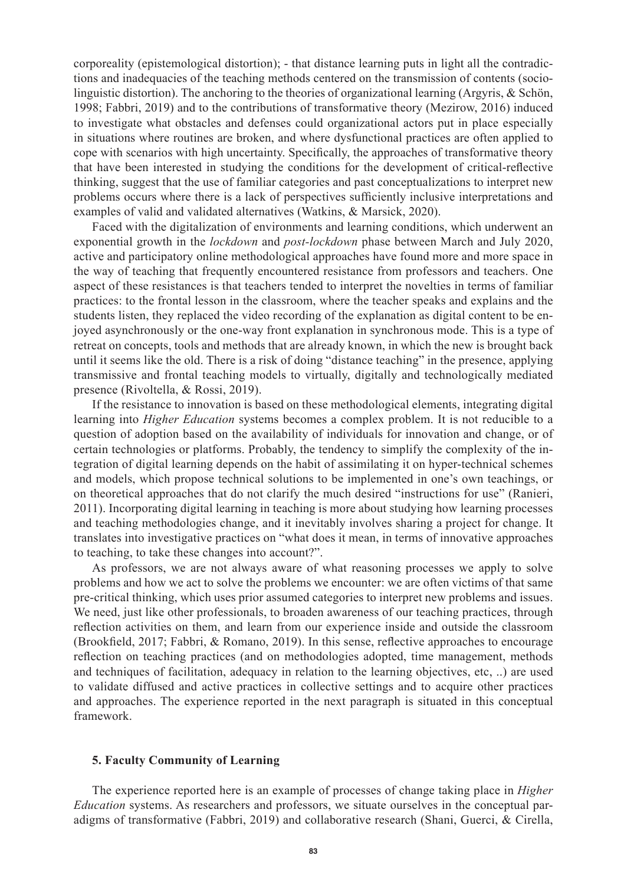corporeality (epistemological distortion); - that distance learning puts in light all the contradictions and inadequacies of the teaching methods centered on the transmission of contents (sociolinguistic distortion). The anchoring to the theories of organizational learning (Argyris, & Schön, 1998; Fabbri, 2019) and to the contributions of transformative theory (Mezirow, 2016) induced to investigate what obstacles and defenses could organizational actors put in place especially in situations where routines are broken, and where dysfunctional practices are often applied to cope with scenarios with high uncertainty. Specifically, the approaches of transformative theory that have been interested in studying the conditions for the development of critical-reflective thinking, suggest that the use of familiar categories and past conceptualizations to interpret new problems occurs where there is a lack of perspectives sufficiently inclusive interpretations and examples of valid and validated alternatives (Watkins, & Marsick, 2020).

Faced with the digitalization of environments and learning conditions, which underwent an exponential growth in the *lockdown* and *post-lockdown* phase between March and July 2020, active and participatory online methodological approaches have found more and more space in the way of teaching that frequently encountered resistance from professors and teachers. One aspect of these resistances is that teachers tended to interpret the novelties in terms of familiar practices: to the frontal lesson in the classroom, where the teacher speaks and explains and the students listen, they replaced the video recording of the explanation as digital content to be enjoyed asynchronously or the one-way front explanation in synchronous mode. This is a type of retreat on concepts, tools and methods that are already known, in which the new is brought back until it seems like the old. There is a risk of doing "distance teaching" in the presence, applying transmissive and frontal teaching models to virtually, digitally and technologically mediated presence (Rivoltella, & Rossi, 2019).

If the resistance to innovation is based on these methodological elements, integrating digital learning into *Higher Education* systems becomes a complex problem. It is not reducible to a question of adoption based on the availability of individuals for innovation and change, or of certain technologies or platforms. Probably, the tendency to simplify the complexity of the integration of digital learning depends on the habit of assimilating it on hyper-technical schemes and models, which propose technical solutions to be implemented in one's own teachings, or on theoretical approaches that do not clarify the much desired "instructions for use" (Ranieri, 2011). Incorporating digital learning in teaching is more about studying how learning processes and teaching methodologies change, and it inevitably involves sharing a project for change. It translates into investigative practices on "what does it mean, in terms of innovative approaches to teaching, to take these changes into account?".

As professors, we are not always aware of what reasoning processes we apply to solve problems and how we act to solve the problems we encounter: we are often victims of that same pre-critical thinking, which uses prior assumed categories to interpret new problems and issues. We need, just like other professionals, to broaden awareness of our teaching practices, through reflection activities on them, and learn from our experience inside and outside the classroom (Brookfield, 2017; Fabbri, & Romano, 2019). In this sense, reflective approaches to encourage reflection on teaching practices (and on methodologies adopted, time management, methods and techniques of facilitation, adequacy in relation to the learning objectives, etc, ..) are used to validate diffused and active practices in collective settings and to acquire other practices and approaches. The experience reported in the next paragraph is situated in this conceptual framework.

# **5. Faculty Community of Learning**

The experience reported here is an example of processes of change taking place in *Higher Education* systems. As researchers and professors, we situate ourselves in the conceptual paradigms of transformative (Fabbri, 2019) and collaborative research (Shani, Guerci, & Cirella,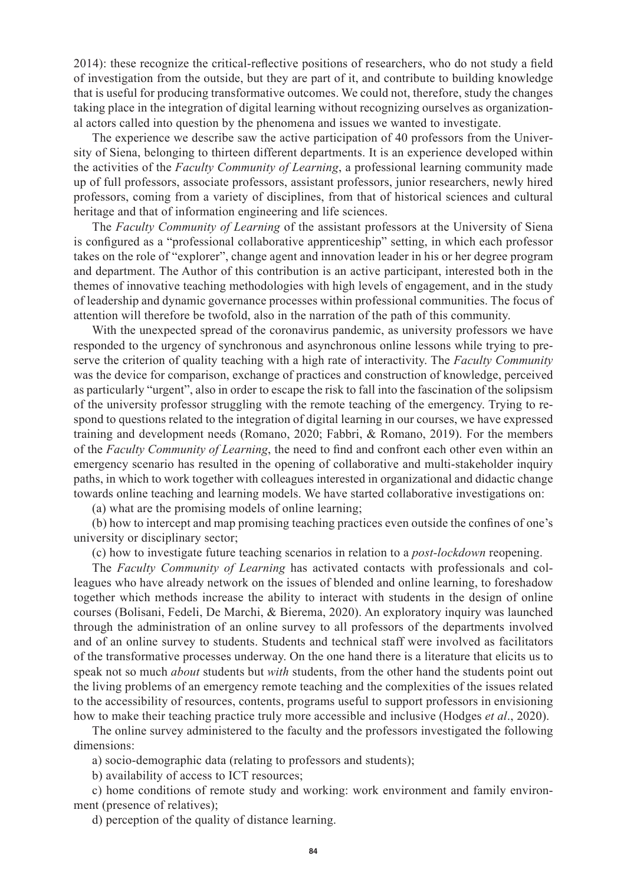2014): these recognize the critical-reflective positions of researchers, who do not study a field of investigation from the outside, but they are part of it, and contribute to building knowledge that is useful for producing transformative outcomes. We could not, therefore, study the changes taking place in the integration of digital learning without recognizing ourselves as organizational actors called into question by the phenomena and issues we wanted to investigate.

The experience we describe saw the active participation of 40 professors from the University of Siena, belonging to thirteen different departments. It is an experience developed within the activities of the *Faculty Community of Learning*, a professional learning community made up of full professors, associate professors, assistant professors, junior researchers, newly hired professors, coming from a variety of disciplines, from that of historical sciences and cultural heritage and that of information engineering and life sciences.

The *Faculty Community of Learning* of the assistant professors at the University of Siena is configured as a "professional collaborative apprenticeship" setting, in which each professor takes on the role of "explorer", change agent and innovation leader in his or her degree program and department. The Author of this contribution is an active participant, interested both in the themes of innovative teaching methodologies with high levels of engagement, and in the study of leadership and dynamic governance processes within professional communities. The focus of attention will therefore be twofold, also in the narration of the path of this community.

With the unexpected spread of the coronavirus pandemic, as university professors we have responded to the urgency of synchronous and asynchronous online lessons while trying to preserve the criterion of quality teaching with a high rate of interactivity. The *Faculty Community*  was the device for comparison, exchange of practices and construction of knowledge, perceived as particularly "urgent", also in order to escape the risk to fall into the fascination of the solipsism of the university professor struggling with the remote teaching of the emergency. Trying to respond to questions related to the integration of digital learning in our courses, we have expressed training and development needs (Romano, 2020; Fabbri, & Romano, 2019). For the members of the *Faculty Community of Learning*, the need to find and confront each other even within an emergency scenario has resulted in the opening of collaborative and multi-stakeholder inquiry paths, in which to work together with colleagues interested in organizational and didactic change towards online teaching and learning models. We have started collaborative investigations on:

(a) what are the promising models of online learning;

(b) how to intercept and map promising teaching practices even outside the confines of one's university or disciplinary sector;

(c) how to investigate future teaching scenarios in relation to a *post-lockdown* reopening.

The *Faculty Community of Learning* has activated contacts with professionals and colleagues who have already network on the issues of blended and online learning, to foreshadow together which methods increase the ability to interact with students in the design of online courses (Bolisani, Fedeli, De Marchi, & Bierema, 2020). An exploratory inquiry was launched through the administration of an online survey to all professors of the departments involved and of an online survey to students. Students and technical staff were involved as facilitators of the transformative processes underway. On the one hand there is a literature that elicits us to speak not so much *about* students but *with* students, from the other hand the students point out the living problems of an emergency remote teaching and the complexities of the issues related to the accessibility of resources, contents, programs useful to support professors in envisioning how to make their teaching practice truly more accessible and inclusive (Hodges *et al*., 2020).

The online survey administered to the faculty and the professors investigated the following dimensions:

a) socio-demographic data (relating to professors and students);

b) availability of access to ICT resources;

c) home conditions of remote study and working: work environment and family environment (presence of relatives);

d) perception of the quality of distance learning.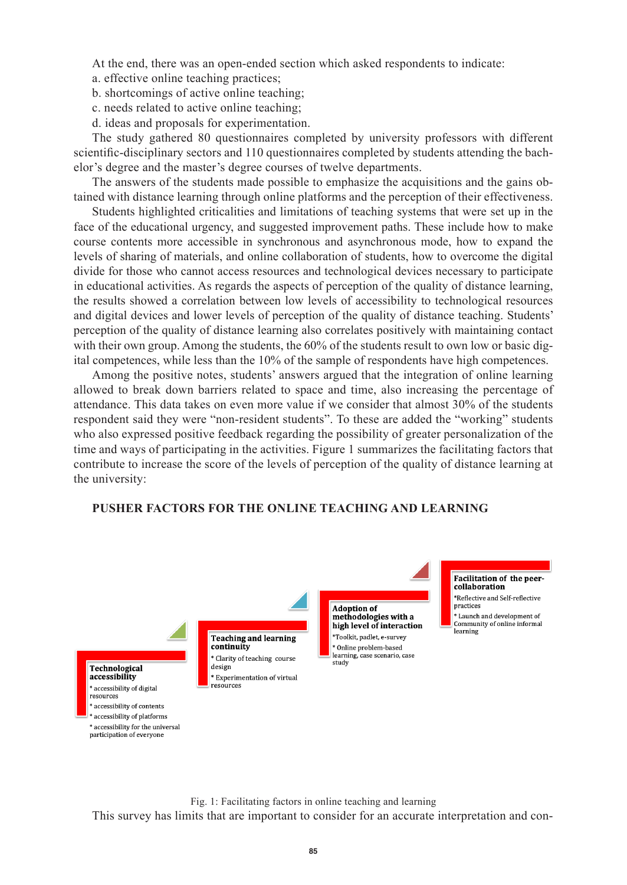At the end, there was an open-ended section which asked respondents to indicate:

- a. effective online teaching practices;
- b. shortcomings of active online teaching;
- c. needs related to active online teaching;
- d. ideas and proposals for experimentation.

The study gathered 80 questionnaires completed by university professors with different scientific-disciplinary sectors and 110 questionnaires completed by students attending the bachelor's degree and the master's degree courses of twelve departments.

The answers of the students made possible to emphasize the acquisitions and the gains obtained with distance learning through online platforms and the perception of their effectiveness.

Students highlighted criticalities and limitations of teaching systems that were set up in the face of the educational urgency, and suggested improvement paths. These include how to make course contents more accessible in synchronous and asynchronous mode, how to expand the levels of sharing of materials, and online collaboration of students, how to overcome the digital divide for those who cannot access resources and technological devices necessary to participate in educational activities. As regards the aspects of perception of the quality of distance learning, the results showed a correlation between low levels of accessibility to technological resources and digital devices and lower levels of perception of the quality of distance teaching. Students' perception of the quality of distance learning also correlates positively with maintaining contact with their own group. Among the students, the 60% of the students result to own low or basic digital competences, while less than the 10% of the sample of respondents have high competences.

Among the positive notes, students' answers argued that the integration of online learning allowed to break down barriers related to space and time, also increasing the percentage of attendance. This data takes on even more value if we consider that almost 30% of the students respondent said they were "non-resident students". To these are added the "working" students who also expressed positive feedback regarding the possibility of greater personalization of the time and ways of participating in the activities. Figure 1 summarizes the facilitating factors that contribute to increase the score of the levels of perception of the quality of distance learning at the university:

# **PUSHER FACTORS FOR THE ONLINE TEACHING AND LEARNING**



Fig. 1: Facilitating factors in online teaching and learning This survey has limits that are important to consider for an accurate interpretation and con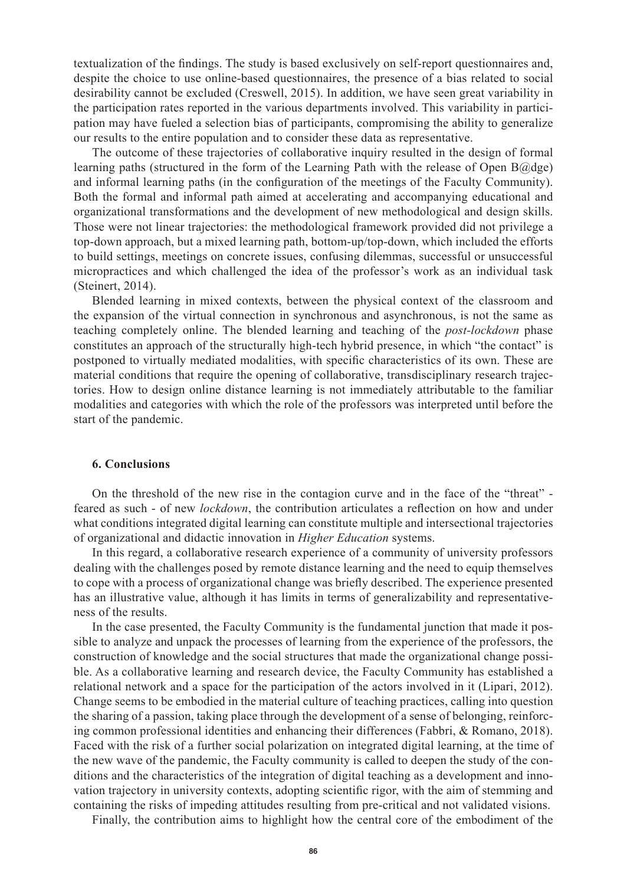textualization of the findings. The study is based exclusively on self-report questionnaires and, despite the choice to use online-based questionnaires, the presence of a bias related to social desirability cannot be excluded (Creswell, 2015). In addition, we have seen great variability in the participation rates reported in the various departments involved. This variability in participation may have fueled a selection bias of participants, compromising the ability to generalize our results to the entire population and to consider these data as representative.

The outcome of these trajectories of collaborative inquiry resulted in the design of formal learning paths (structured in the form of the Learning Path with the release of Open B@dge) and informal learning paths (in the configuration of the meetings of the Faculty Community). Both the formal and informal path aimed at accelerating and accompanying educational and organizational transformations and the development of new methodological and design skills. Those were not linear trajectories: the methodological framework provided did not privilege a top-down approach, but a mixed learning path, bottom-up/top-down, which included the efforts to build settings, meetings on concrete issues, confusing dilemmas, successful or unsuccessful micropractices and which challenged the idea of the professor's work as an individual task (Steinert, 2014).

Blended learning in mixed contexts, between the physical context of the classroom and the expansion of the virtual connection in synchronous and asynchronous, is not the same as teaching completely online. The blended learning and teaching of the *post-lockdown* phase constitutes an approach of the structurally high-tech hybrid presence, in which "the contact" is postponed to virtually mediated modalities, with specific characteristics of its own. These are material conditions that require the opening of collaborative, transdisciplinary research trajectories. How to design online distance learning is not immediately attributable to the familiar modalities and categories with which the role of the professors was interpreted until before the start of the pandemic.

### **6. Conclusions**

On the threshold of the new rise in the contagion curve and in the face of the "threat" feared as such - of new *lockdown*, the contribution articulates a reflection on how and under what conditions integrated digital learning can constitute multiple and intersectional trajectories of organizational and didactic innovation in *Higher Education* systems.

In this regard, a collaborative research experience of a community of university professors dealing with the challenges posed by remote distance learning and the need to equip themselves to cope with a process of organizational change was briefly described. The experience presented has an illustrative value, although it has limits in terms of generalizability and representativeness of the results.

In the case presented, the Faculty Community is the fundamental junction that made it possible to analyze and unpack the processes of learning from the experience of the professors, the construction of knowledge and the social structures that made the organizational change possible. As a collaborative learning and research device, the Faculty Community has established a relational network and a space for the participation of the actors involved in it (Lipari, 2012). Change seems to be embodied in the material culture of teaching practices, calling into question the sharing of a passion, taking place through the development of a sense of belonging, reinforcing common professional identities and enhancing their differences (Fabbri, & Romano, 2018). Faced with the risk of a further social polarization on integrated digital learning, at the time of the new wave of the pandemic, the Faculty community is called to deepen the study of the conditions and the characteristics of the integration of digital teaching as a development and innovation trajectory in university contexts, adopting scientific rigor, with the aim of stemming and containing the risks of impeding attitudes resulting from pre-critical and not validated visions.

Finally, the contribution aims to highlight how the central core of the embodiment of the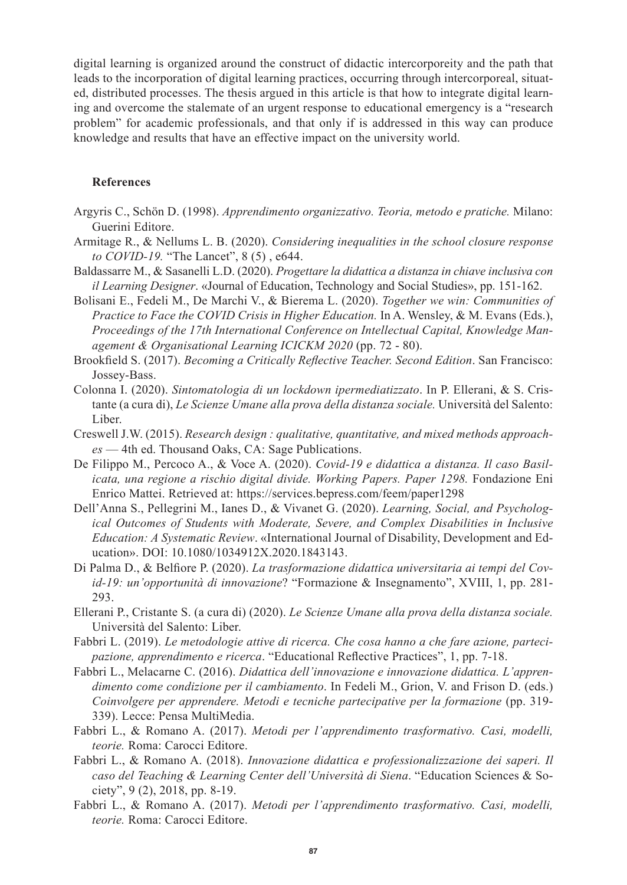digital learning is organized around the construct of didactic intercorporeity and the path that leads to the incorporation of digital learning practices, occurring through intercorporeal, situated, distributed processes. The thesis argued in this article is that how to integrate digital learning and overcome the stalemate of an urgent response to educational emergency is a "research problem" for academic professionals, and that only if is addressed in this way can produce knowledge and results that have an effective impact on the university world.

# **References**

- Argyris C., Schön D. (1998). *Apprendimento organizzativo. Teoria, metodo e pratiche.* Milano: Guerini Editore.
- Armitage R., & Nellums L. B. (2020). *Considering inequalities in the school closure response to COVID-19.* "The Lancet", 8 (5) , e644.
- Baldassarre M., & Sasanelli L.D. (2020). *Progettare la didattica a distanza in chiave inclusiva con il Learning Designer*. «Journal of Education, Technology and Social Studies», pp. 151-162.
- Bolisani E., Fedeli M., De Marchi V., & Bierema L. (2020). *Together we win: Communities of Practice to Face the COVID Crisis in Higher Education.* In A. Wensley, & M. Evans (Eds.), *Proceedings of the 17th International Conference on Intellectual Capital, Knowledge Management & Organisational Learning ICICKM 2020* (pp. 72 - 80).
- Brookfield S. (2017). *Becoming a Critically Reflective Teacher. Second Edition*. San Francisco: Jossey-Bass.
- Colonna I. (2020). *Sintomatologia di un lockdown ipermediatizzato*. In P. Ellerani, & S. Cristante (a cura di), *Le Scienze Umane alla prova della distanza sociale.* Università del Salento: Liber.
- Creswell J.W. (2015). *Research design : qualitative, quantitative, and mixed methods approaches* — 4th ed. Thousand Oaks, CA: Sage Publications.
- De Filippo M., Percoco A., & Voce A. (2020). *Covid-19 e didattica a distanza. Il caso Basilicata, una regione a rischio digital divide. Working Papers. Paper 1298.* Fondazione Eni Enrico Mattei. Retrieved at: https://services.bepress.com/feem/paper1298
- Dell'Anna S., Pellegrini M., Ianes D., & Vivanet G. (2020). *Learning, Social, and Psychological Outcomes of Students with Moderate, Severe, and Complex Disabilities in Inclusive Education: A Systematic Review*. «International Journal of Disability, Development and Education». DOI: 10.1080/1034912X.2020.1843143.
- Di Palma D., & Belfiore P. (2020). *La trasformazione didattica universitaria ai tempi del Covid-19: un'opportunità di innovazione*? "Formazione & Insegnamento", XVIII, 1, pp. 281- 293.
- Ellerani P., Cristante S. (a cura di) (2020). *Le Scienze Umane alla prova della distanza sociale.* Università del Salento: Liber.
- Fabbri L. (2019). *Le metodologie attive di ricerca. Che cosa hanno a che fare azione, partecipazione, apprendimento e ricerca*. "Educational Reflective Practices", 1, pp. 7-18.
- Fabbri L., Melacarne C. (2016). *Didattica dell'innovazione e innovazione didattica. L'apprendimento come condizione per il cambiamento*. In Fedeli M., Grion, V. and Frison D. (eds.) *Coinvolgere per apprendere. Metodi e tecniche partecipative per la formazione* (pp. 319- 339). Lecce: Pensa MultiMedia.
- Fabbri L., & Romano A. (2017). *Metodi per l'apprendimento trasformativo. Casi, modelli, teorie.* Roma: Carocci Editore.
- Fabbri L., & Romano A. (2018). *Innovazione didattica e professionalizzazione dei saperi. Il caso del Teaching & Learning Center dell'Università di Siena*. "Education Sciences & Society", 9 (2), 2018, pp. 8-19.
- Fabbri L., & Romano A. (2017). *Metodi per l'apprendimento trasformativo. Casi, modelli, teorie.* Roma: Carocci Editore.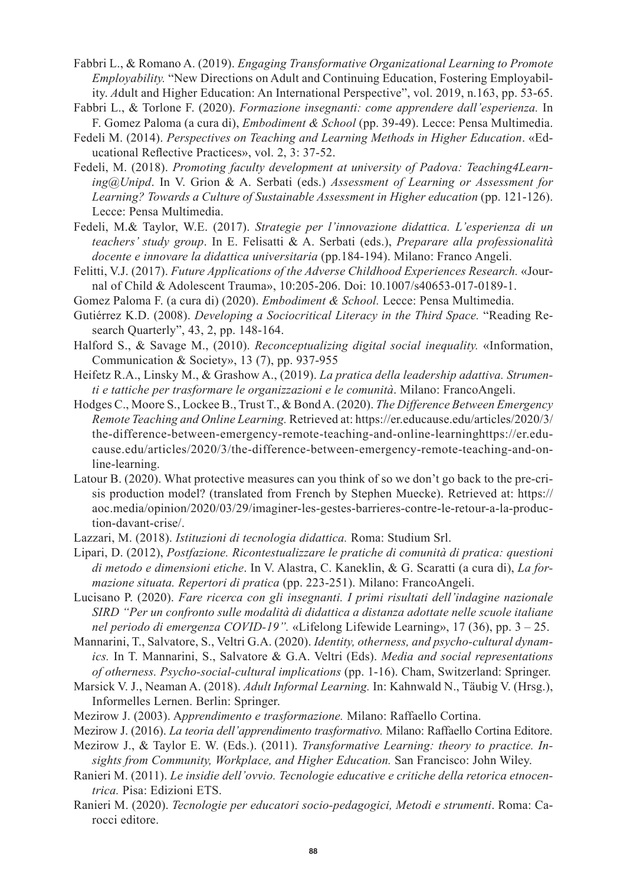- Fabbri L., & Romano A. (2019). *Engaging Transformative Organizational Learning to Promote Employability.* "New Directions on Adult and Continuing Education, Fostering Employability. *A*dult and Higher Education: An International Perspective", vol. 2019, n.163, pp. 53-65.
- Fabbri L., & Torlone F. (2020). *Formazione insegnanti: come apprendere dall'esperienza.* In F. Gomez Paloma (a cura di), *Embodiment & School* (pp. 39-49). Lecce: Pensa Multimedia.
- Fedeli M. (2014). *Perspectives on Teaching and Learning Methods in Higher Education*. «Educational Reflective Practices», vol. 2, 3: 37-52.
- Fedeli, M. (2018). *Promoting faculty development at university of Padova: Teaching4Learning@Unipd*. In V. Grion & A. Serbati (eds.) *Assessment of Learning or Assessment for Learning? Towards a Culture of Sustainable Assessment in Higher education* (pp. 121-126). Lecce: Pensa Multimedia.
- Fedeli, M.& Taylor, W.E. (2017). *Strategie per l'innovazione didattica. L'esperienza di un teachers' study group*. In E. Felisatti & A. Serbati (eds.), *Preparare alla professionalità docente e innovare la didattica universitaria* (pp.184-194). Milano: Franco Angeli.
- Felitti, V.J. (2017). *Future Applications of the Adverse Childhood Experiences Research.* «Journal of Child & Adolescent Trauma», 10:205-206. Doi: 10.1007/s40653-017-0189-1.
- Gomez Paloma F. (a cura di) (2020). *Embodiment & School.* Lecce: Pensa Multimedia.
- Gutiérrez K.D. (2008). *Developing a Sociocritical Literacy in the Third Space.* "Reading Research Quarterly", 43, 2, pp. 148-164.
- Halford S., & Savage M., (2010). *Reconceptualizing digital social inequality.* «Information, Communication & Society», 13 (7), pp. 937-955
- Heifetz R.A., Linsky M., & Grashow A., (2019). *La pratica della leadership adattiva. Strumenti e tattiche per trasformare le organizzazioni e le comunità*. Milano: FrancoAngeli.
- Hodges C., Moore S., Lockee B., Trust T., & Bond A. (2020). *The Difference Between Emergency Remote Teaching and Online Learning.* Retrieved at: https://er.educause.edu/articles/2020/3/ the-difference-between-emergency-remote-teaching-and-online-learninghttps://er.educause.edu/articles/2020/3/the-difference-between-emergency-remote-teaching-and-online-learning.
- Latour B. (2020). What protective measures can you think of so we don't go back to the pre-crisis production model? (translated from French by Stephen Muecke). Retrieved at: https:// aoc.media/opinion/2020/03/29/imaginer-les-gestes-barrieres-contre-le-retour-a-la-production-davant-crise/.
- Lazzari, M. (2018). *Istituzioni di tecnologia didattica.* Roma: Studium Srl.
- Lipari, D. (2012), *Postfazione. Ricontestualizzare le pratiche di comunità di pratica: questioni di metodo e dimensioni etiche*. In V. Alastra, C. Kaneklin, & G. Scaratti (a cura di), *La formazione situata. Repertori di pratica* (pp. 223-251). Milano: FrancoAngeli.
- Lucisano P. (2020). *Fare ricerca con gli insegnanti. I primi risultati dell'indagine nazionale SIRD "Per un confronto sulle modalità di didattica a distanza adottate nelle scuole italiane nel periodo di emergenza COVID-19".* «Lifelong Lifewide Learning», 17 (36), pp. 3 – 25.
- Mannarini, T., Salvatore, S., Veltri G.A. (2020). *Identity, otherness, and psycho-cultural dynamics.* In T. Mannarini, S., Salvatore & G.A. Veltri (Eds). *Media and social representations of otherness. Psycho-social-cultural implications* (pp. 1-16). Cham, Switzerland: Springer.
- Marsick V. J., Neaman A. (2018). *Adult Informal Learning.* In: Kahnwald N., Täubig V. (Hrsg.), Informelles Lernen. Berlin: Springer.
- Mezirow J. (2003). A*pprendimento e trasformazione.* Milano: Raffaello Cortina.
- Mezirow J. (2016). *La teoria dell'apprendimento trasformativo.* Milano: Raffaello Cortina Editore.
- Mezirow J., & Taylor E. W. (Eds.). (2011). *Transformative Learning: theory to practice. Insights from Community, Workplace, and Higher Education.* San Francisco: John Wiley.
- Ranieri M. (2011). *Le insidie dell'ovvio. Tecnologie educative e critiche della retorica etnocentrica.* Pisa: Edizioni ETS.
- Ranieri M. (2020). *Tecnologie per educatori socio-pedagogici, Metodi e strumenti*. Roma: Carocci editore.